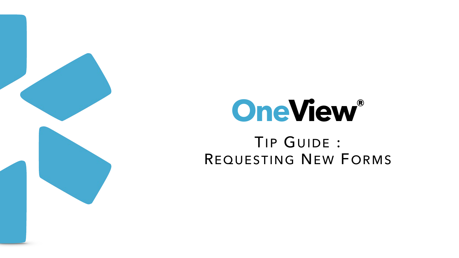

# TIP GUIDE : REQUESTING NEW FORMS **OneView®**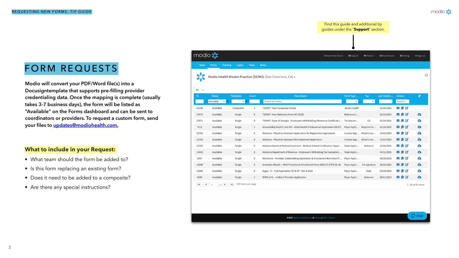**Modio will convert your PDF/Word file(s) into a Docusigntemplate that supports pre-filling provider credentialing data. Once the mapping is complete (usually takes 3-7 business days), the form will be listed as "Available" on the Forms dashboard and can be sent to coordinators or providers. To request a custom form, send your files to [updates@modiohealth.com.](mailto:updates@modiohealth.com)**

## FORM REQUESTS

#### **What to include in your Request:**

- What team should the form be added to?
- Is this form replacing an existing form?
- Does it need to be added to a composite?
- Are there any special instructions?

| modio <sup>*</sup> |                     |
|--------------------|---------------------|
| <b>Team</b>        | Forn                |
|                    | Mod                 |
| All                |                     |
| ID                 | Sta                 |
|                    | Availa              |
| 45728              | Av                  |
| 27972              | Av                  |
| 27971              | Av                  |
| 7112               | Av                  |
| 22753              | Av                  |
| 22754              | Av                  |
| 22333              | Av                  |
| 13103              | Av                  |
| 8937               | Av                  |
| 14198              | Av                  |
| 13183              | Av                  |
| 6093               | Av                  |
| K                  | $\blacksquare$<br>1 |
|                    |                     |

Find this guide and additional tip guides under the "**Support**" section.

| ns Tracking Logins Tasks Notes |  |
|--------------------------------|--|

lio Health Master Practice (DEMO) (San Francisco, CA) -

| atus                                      | <b>Templates</b>         | Count          | <b>Form Name</b>                                                             | Form Type                | <b>Tag</b>    | Last Update | <b>Actions</b>                           | O                  |
|-------------------------------------------|--------------------------|----------------|------------------------------------------------------------------------------|--------------------------|---------------|-------------|------------------------------------------|--------------------|
| able<br>$\sim$ $\mid$                     | $\checkmark$             | $\cdots$       | Search by name                                                               | $\checkmark$             | $\checkmark$  | $\cdots$    | Search n                                 |                    |
| ailable                                   | Composite                | 3              | *DEMO*: New Composite Packet                                                 | Modio Health             |               | 02/04/2022  | $\triangleright$ [i $\triangleright$     |                    |
| ailable                                   | Single                   | 0              | *DEMO*: Peer Reference Form (07.2020)                                        | Reference L              |               | 02/24/2021  | $\triangleright$ [ $\triangleright$      | $\bullet$          |
| ailable                                   | Single                   | 0              | *DEMO*: State of Georgia - Employee's Withholding Allowance Certificate (    | Tax Docum                | GA            | 02/24/2021  | <b>867</b>                               | $\bullet$          |
| ailable                                   | Single                   | 1              | Accountable Health Care IPA - Allied Health Professional Application (06.97) | Payor Appli              | Requires Fa   | 01/20/2020  | $\triangleright$ [ $\triangleright$      | $\bullet$          |
| ailable                                   | Single                   | 0              | Alabama - Physician Assistant Application for Registration Agreement         | License App Allied Licen |               | 12/02/2020  | $\sim$ Li $\sim$                         | $\bullet$          |
| ailable                                   | Single                   | 0              | Alabama - Physician Assistant Reinstatement Application                      | License App Allied Licen |               | 12/02/2020  | VLB                                      | $\bullet$          |
| ailable                                   | Single                   | 0              | Alabama Board of Medical Examiners - Medical School Certification (Appe      | State Applic             | Alabama       | 12/06/2021  | $\trianglerighteq$ Li $\trianglerighteq$ | $\bullet$          |
| ailable                                   | Single                   | $\overline{0}$ | Alabama Department of Revenue - Employee's Witholding Tax Exemption          | State Applic             |               | 03/31/2020  | $\triangleright$ L $\triangleright$      | $\bullet$          |
| ailable                                   | Single                   | 0              | AlohaCare - Provider Credentialing Application & Disclosure Information F    | Payor Appli              |               | 08/26/2019  | $\sim$ L $\alpha$                        | $\bullet$          |
| ailable                                   | Single                   | 0              | Ambetter-Allwell - MHS Practitioner Enrollment Form (0819.CC.P.FO 08.19)     | Payor Appli              | ink signature | 06/22/2021  | $\triangleright$ [ $\triangleright$      | $\bullet$          |
| ailable                                   | Single                   | $\mathbf{0}$   | Argus - FL - Full Application GP & SP - Rev 8.2018                           | Payor Appli              | Kate          | 03/09/2020  | $\triangleright$ [ $\triangleright$      | $\bullet$          |
| ailable                                   | Single                   | 1              | BCBS of AL - Uniform Provider Application                                    | Payor Appli              | Alabama       | 08/01/2019  | VLB                                      | $\bullet$          |
| $\blacktriangleright$<br>$\left(1\right)$ | 200 items per page<br>Þ. |                |                                                                              |                          |               |             |                                          | 1 - 80 of 80 items |

©2022 Modio Health | Terms & Privacy | Refer a Friend



modio :

 $\bullet$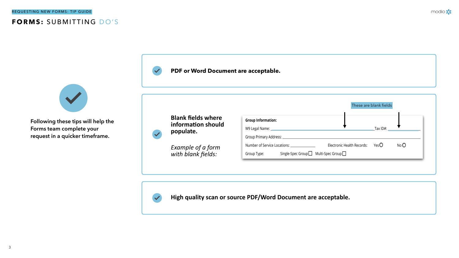#### REQUESTING NEW FORMS: TIP GUIDE

## **FORMS:** SUBMITTING DO'S



#### **PDF or Word Document are acceptable.**

**High quality scan or source PDF/Word Document are acceptable.**



modio :

|                                                  | These are blank fields            |     |
|--------------------------------------------------|-----------------------------------|-----|
| <b>Group Information:</b>                        |                                   |     |
|                                                  | Tax $ID#$ :                       |     |
| Group Primary Address: _______________           |                                   |     |
| Number of Service Locations:                     | Electronic Health Records: $YesO$ | NoO |
| Group Type: Single-Spec Group□ Multi-Spec Group□ |                                   |     |



**Following these tips will help the Forms team complete your request in a quicker timeframe.**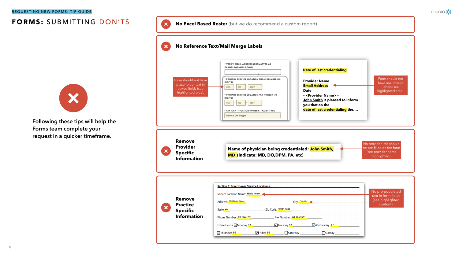#### REQUESTING NEW FORMS: TIP GUIDE

## **FORMS:** SUBMITTING DON'TS **No Excel Based Roster** (but we do recommend a custom report)

#### **No Reference Text/Mail Merge Labels**





| * VERIFY EMAIL ADDRESS (FORMATTED AS<br><b>EXAMPLE@SAMPLE.COM)</b><br>* PRIMARY SERVICE LOCATION PHONE NUMBER (10<br>DIGITS)<br>000<br>123<br>4567<br>* PRIMARY SERVICE LOCATION FAX NUMBER (10<br>DIGITS)<br>000<br>123<br>4567<br>* TAX IDENTIFICATION NUMBER (TAX ID) TYPE<br>Select a tax ID type | <b>Date of last credentialing</b><br><b>Provider Name</b><br><b>Email Address</b><br><b>Date</b><br>< <provider name="">&gt;<br/>John Smith is pleased to inform<br/>you that on the<br/>date of last credentialing the</provider> | Form should not<br>have mail merge<br>labels (see<br>highlighted area).                     |
|-------------------------------------------------------------------------------------------------------------------------------------------------------------------------------------------------------------------------------------------------------------------------------------------------------|------------------------------------------------------------------------------------------------------------------------------------------------------------------------------------------------------------------------------------|---------------------------------------------------------------------------------------------|
| Name of physician being credentialed: John Smith,<br>MD (indicate: MD, DO, DPM, PA, etc)                                                                                                                                                                                                              |                                                                                                                                                                                                                                    | No provider info should<br>be pre-filled on the form<br>(see provider name<br>highlighted). |
| <b>Section 5: Practitioner Service Locations</b>                                                                                                                                                                                                                                                      |                                                                                                                                                                                                                                    |                                                                                             |
| Service Location Name: Modio Health                                                                                                                                                                                                                                                                   |                                                                                                                                                                                                                                    | No pre-populated<br>text in form fields                                                     |
| Address: 123 Main Street City: City: City: City: City: City: City: City: City: City: City: City: City: City: City: City: City: City: City: City: City: City: City: City: City: City: City: City: City: City: City: City: City:                                                                        |                                                                                                                                                                                                                                    | (see highlighted<br>content).                                                               |
|                                                                                                                                                                                                                                                                                                       |                                                                                                                                                                                                                                    |                                                                                             |
| Phone Number: 888-555-1234 Fax Number: 888-555-6541                                                                                                                                                                                                                                                   |                                                                                                                                                                                                                                    |                                                                                             |
|                                                                                                                                                                                                                                                                                                       | Office Hours: $\blacksquare$ Monday 8-5                                                                                                                                                                                            |                                                                                             |

modio :

**Following these tips will help the Forms team complete your request in a quicker timeframe.**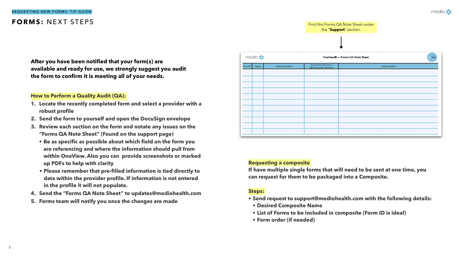Find this Forms QA Note Sheet under the "**Support**" section.

| modio :            |                   | One                                                  |               |  |
|--------------------|-------------------|------------------------------------------------------|---------------|--|
| Form ID#<br>Page # | Field/SectionName | Example Provider Name<br>(When Issue Was Identified) | Update Needed |  |
|                    |                   |                                                      |               |  |
|                    |                   |                                                      |               |  |
|                    |                   |                                                      |               |  |
|                    |                   |                                                      |               |  |
|                    |                   |                                                      |               |  |
|                    |                   |                                                      |               |  |
|                    |                   |                                                      |               |  |
|                    |                   |                                                      |               |  |
|                    |                   |                                                      |               |  |
|                    |                   |                                                      |               |  |
|                    |                   |                                                      |               |  |

#### REQUESTING NEW FORMS: TIP GUIDE

### **FORMS:** NEXT STEPS

**After you have been notified that your form(s) are available and ready for use, we strongly suggest you audit the form to confirm it is meeting all of your needs.** 

#### **How to Perform a Quality Audit (QA):**

- **1. Locate the recently completed form and select a provider with a robust profile**
- **2. Send the form to yourself and open the DocuSign envelope**
- **3. Review each section on the form and notate any issues on the "Forms QA Note Sheet" (Found on the support page)**
	- **• Be as specific as possible about which field on the form you are referencing and where the information should pull from within OneView. Also you can provide screenshots or marked up PDFs to help with clarity**
	- **• Please remember that pre-filled information is tied directly to data within the provider profile. If information is not entered in the profile it will not populate.**
- **4. Send the "Forms QA Note Sheet" to [updates@modiohealth.com](mailto:updates@modiohealth.com)**
- **5. Forms team will notify you once the changes are made**

#### **Requesting a composite**

**If have multiple single forms that will need to be sent at one time, you can request for them to be packaged into a Composite.**

#### **Steps:**

- **• Send request to [support@modiohealth.com](mailto:support@modiohealth.com) with the following details:**
- **• Desired Composite Name**
- **• List of Forms to be included in composite (Form ID is ideal)**
- **• Form order (if needed)**